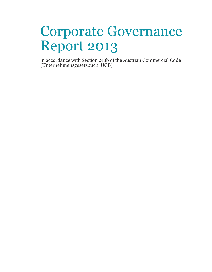# Corporate Governance Report 2013

in accordance with Section 243b of the Austrian Commercial Code (Unternehmensgesetzbuch, UGB)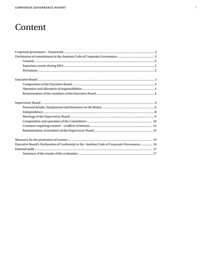# Content

| Executive Board's Declaration of Conformity to the Austrian Code of Corporate Governance  16 |  |
|----------------------------------------------------------------------------------------------|--|
|                                                                                              |  |
|                                                                                              |  |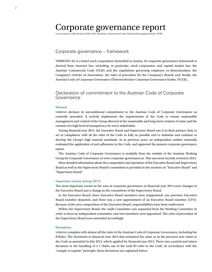# Corporate governance report

in accordance with Section 243b of the Austrian Commercial Code (Unternehmensgesetzbuch, UGB)

# Corporate governance – framework

VERBUND AG is a listed stock corporation domiciled in Austria. Its corporate governance framework is derived from Austrian law, including, in particular, stock corporation and capital market law, the Austrian Commercial Code (UGB) and the regulations governing employee co-determination, the Company's Articles of Association, the rules of procedure for the Company's Boards and, finally, the Austrian Code of Corporate Governance (Österreichischer Corporate Governance Kodex, ÖCGK).

# Declaration of commitment to the Austrian Code of Corporate Governance

#### **General**

VERBUND declares its unconditional commitment to the Austrian Code of Corporate Governance as currently amended. It actively implements the requirements of the Code to ensure responsible management and control of the Group directed at the sustainable and long-term creation of value and the creation of a high level of transparency for every stakeholder.

During financial year 2013, the Executive Board and Supervisory Board saw it as their primary duty to act in compliance with all the rules of the Code as fully as possible and to maintain and continue to develop the Group's high internal standards. As in previous years, an independent auditor externally evaluated the application of and adherence to the Code, and approved the present corporate governance report.

The Austrian Code of Corporate Governance is available from the website of the Austrian Working Group for Corporate Governance at www.corporate-governance.at. This was most recently revised in 2012.

More detailed information about the composition and operation of the Executive Board and Supervisory Board as well as the Supervisory Board's committees is provided in the sections on "Executive Board" and "Supervisory Board".

#### **Important events during 2013**

The most important events in the area of corporate governance in financial year 2013 were changes in the Executive Board and a change in the committees of the Supervisory Board.

In the Executive Board, three Executive Board members were reappointed, one previous Executive Board member departed, and there was a new appointment of an Executive Board member (CFO). Because of the new composition of the Executive Board, responsibilities have been reallocated.

Within the Supervisory Board, the Audit Committee was separated from the Working Committee in order to form an independent committee, and new members were appointed. The rules of procedure of the Supervisory Board were amended accordingly.

#### **Deviations**

VERBUND complies with almost all the rules in the Austrian Code of Corporate Governance, including the R Rules. The deviations in financial year 2013 that remained the same as in the previous year relate to the Code as amended in July 2012, which applied for financial year 2013. There was a partial and minor deviation in the handling of 2 C Rules out of the total 83 rules in the Code. In accordance with the "comply or explain" principle, these deviations are explained below: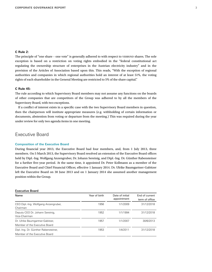#### **C Rule 2:**

The principle of "one share – one vote" is generally adhered to with respect to VERBUND shares. The sole exception is based on a restriction on voting rights embodied in the "federal constitutional act regulating the ownership structure of enterprises in the Austrian electricity industry" and in the provision of the Articles of Association based upon this. This reads, "With the exception of regional authorities and companies in which regional authorities hold an interest of at least 51%, the voting rights of each shareholder in the General Meeting are restricted to 5% of the share capital."

#### **C Rule 45:**

The rule according to which Supervisory Board members may not assume any functions on the boards of other companies that are competitors of the Group was adhered to by all the members of the Supervisory Board, with two exceptions.

If a conflict of interest exists in a specific case with the two Supervisory Board members in question, then the chairperson will institute appropriate measures (e.g. withholding of certain information or documents, abstention from voting or departure from the meeting.) This was required during the year under review for only two agenda items in one meeting.

# Executive Board

#### **Composition of the Executive Board**

During financial year 2013, the Executive Board had four members, and, from 1 July 2013, three members. On 5 March 2013, the Supervisory Board resolved an extension of the Executive Board offices held by Dipl.-Ing. Wolfgang Anzengruber, Dr. Johann Sereinig, and Dipl.-Ing. Dr. Günther Rabensteiner for a further five-year period. At the same time, it appointed Dr. Peter Kollmann as a member of the Executive Board and Chief Financial Officer, effective 1 January 2014. Dr. Ulrike Baumgartner-Gabitzer left the Executive Board on 30 June 2013 and on 1 January 2014 she assumed another management position within the Group.

| <b>Executive Board</b>                                                |               |                                |                                  |
|-----------------------------------------------------------------------|---------------|--------------------------------|----------------------------------|
| Name                                                                  | Year of birth | Date of initial<br>appointment | End of current<br>term of office |
| CEO Dipl.-Ing. Wolfgang Anzengruber,<br>Chairman                      | 1956          | 1/1/2009                       | 31/12/2018                       |
| Deputy CEO Dr. Johann Sereinig,<br>Vice-Chairman                      | 1952          | 1/1/1994                       | 31/12/2018                       |
| Dr. Ulrike Baumgartner-Gabitzer,<br>Member of the Executive Board     | 1957          | 1/1/2007                       | 30/6/2013                        |
|                                                                       |               |                                |                                  |
| Dipl.-Ing. Dr. Günther Rabensteiner,<br>Member of the Executive Board | 1953          | 1/4/2011                       | 31/12/2018                       |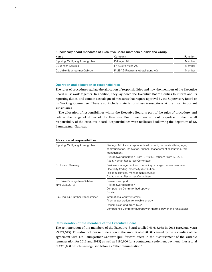| Supervisory board mandates of Executive Board members outside the Group |  |  |  |  |  |
|-------------------------------------------------------------------------|--|--|--|--|--|
|-------------------------------------------------------------------------|--|--|--|--|--|

| Name                            | Company                          | <b>Function</b> |
|---------------------------------|----------------------------------|-----------------|
| Dipl.-Ing. Wolfgang Anzengruber | Palfinger AG                     | Member          |
| Dr. Johann Sereinig             | FK Austria Wien AG               | Member          |
| Dr. Ulrike Baumgartner-Gabitzer | FIMBAG-Finanzmarktbeteiligung AG | Member          |

#### **Operation and allocation of responsibilities**

The rules of procedure regulate the allocation of responsibilities and how the members of the Executive Board must work together. In addition, they lay down the Executive Board's duties to inform and its reporting duties, and contain a catalogue of measures that require approval by the Supervisory Board or its Working Committee. These also include material business transactions at the most important subsidiaries.

The allocation of responsibilities within the Executive Board is part of the rules of procedure, and defines the range of duties of the Executive Board members without prejudice to the overall responsibility of the Executive Board. Responsibilities were reallocated following the departure of Dr. Baumgartner-Gabitzer.

#### Allocation of responsibilities

| Dipl.-Ing. Wolfgang Anzengruber                      | Strategy, M&A and corporate development, corporate affairs, legal,<br>communication, innovation, finance, management accounting, risk<br>management                                        |
|------------------------------------------------------|--------------------------------------------------------------------------------------------------------------------------------------------------------------------------------------------|
|                                                      | Hydropower generation (from 1/7/2013), tourism (from 1/7/2013)<br>Audit, Human Resources Committee                                                                                         |
| Dr. Johann Sereinig                                  | Business management and marketing, strategic human resources<br>Electricity trading, electricity distribution<br>Telekom services, management services<br>Audit, Human Resources Committee |
| Dr. Ulrike Baumgartner-Gabitzer<br>(until 30/6/2013) | Transmission grid<br>Hydropower generation<br>Competence Centre for hydropower<br>Tourism                                                                                                  |
| Dipl.-Ing. Dr. Günther Rabensteiner                  | International equity interests<br>Thermal generation, renewable energy<br>Transmission grid (from 1/7/2013)<br>Competence Centre for hydropower, thermal power and renewables              |

#### **Remuneration of the members of the Executive Board**

The remuneration of the members of the Executive Board totalled  $\epsilon$ 3,615,088 in 2013 (previous year: €3,274,545). This also includes remuneration in the amount of €190,000 caused by the rescinding of the agreement with Dr. Baumgartner-Gabitzer (pull-forward effect in the disbursement of the variable remuneration for 2012 and 2013) as well as €180,000 for a contractual settlement payment, thus a total of €370,000, which is recognised below as "other remuneration".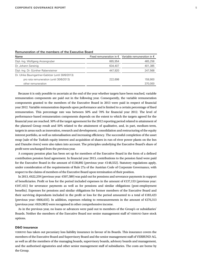| Name                                              |         | Fixed remuneration in $\epsilon$ Variable remuneration in $\epsilon$ |
|---------------------------------------------------|---------|----------------------------------------------------------------------|
| Dipl.-Ing. Wolfgang Anzengruber                   | 665.954 | 465,256                                                              |
| Dr. Johann Sereinig                               | 634,407 | 401,385                                                              |
| Dipl.-Ing. Dr. Günther Rabensteiner               | 447,920 | 247,568                                                              |
| Dr. Ulrike Baumgartner-Gabitzer (until 30/6/2013) |         |                                                                      |
| pro rata remuneration (until 30/6/2013)           | 222.698 | 159.900                                                              |
| other remuneration                                |         | 370,000                                                              |

#### Remuneration of the members of the Executive Board

Because it is only possible to ascertain at the end of the year whether targets have been reached, variable remuneration components are paid out in the following year. Consequently, the variable remuneration components granted to the members of the Executive Board in 2013 were paid in respect of financial year 2012. Variable remuneration depends upon performance and is limited to a certain percentage of fixed remuneration. This percentage rate was between 50% and 70% for financial year 2012. The level of performance-based remuneration components depends on the extent to which the targets agreed for the financial year are reached. 50% of the target agreement for the 2012 reporting period related to attainment of the planned Group result and 50% related to the attainment of qualitative, and, in part, medium-term, targets in areas such as innovation, research and development, consolidation and restructuring of the equity interest portfolio, as well as rationalisation and increasing efficiency. The successful completion of the asset swap (sale of the Turkish equity interest and acquisition of shares in run-of-river power plants on the Inn and Danube rivers) were also taken into account. The principles underlying the Executive Board's share of profit were unchanged from the previous year.

A company pension plan has been set up for members of the Executive Board in the form of a defined contribution pension fund agreement. In financial year 2013, contributions to the pension fund were paid for the Executive Board in the amount of  $\epsilon$ 130,892 (previous year:  $\epsilon$ 148,552). Statutory regulations apply, under consideration of the requirements of Rule 27a of the Austrian Code of Corporate Governance, with respect to the claims of members of the Executive Board upon termination of their position.

In 2013, €622,259 (previous year: €507,589) was paid out for pensions and severance payments in support of beneficiaries. Profit or loss for the period included expenses in the amount of €137,153 (previous year: €107,451) for severance payments as well as for pensions and similar obligations (post-employment benefits). Expenses for pensions and similar obligations for former members of the Executive Board and their surviving dependants included in the profit or loss for the period amounted to a total of €183,423 (previous year:  $\epsilon$ 666,635). In addition, expenses relating to remeasurements in the amount of  $\epsilon$ 276,313 (previous year: €624,983) were recognised in other comprehensive income.

As in the previous year, no loans or advances were paid out to members of the Group's or subsidiaries' Boards. Neither the members of the Executive Board nor senior management staff of VERBUND have stock options.

#### **D&O insurance**

VERBUND has taken out pecuniary loss liability insurance in favour of its Boards. This insurance covers the members of the Executive Board and Supervisory Board and the senior management staff of VERBUND AG, as well as all the members of the managing boards, supervisory boards, advisory boards and management, and the authorised signatories and other senior management staff of subsidiaries. The costs are borne by the Group.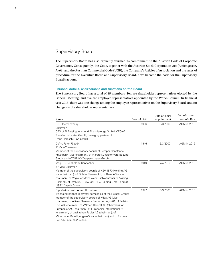# Supervisory Board

The Supervisory Board has also explicitly affirmed its commitment to the Austrian Code of Corporate Governance. Consequently, the Code, together with the Austrian Stock Corporation Act (Aktiengesetz, AktG) and the Austrian Commercial Code (UGB), the Company's Articles of Association and the rules of procedure for the Executive Board and Supervisory Board, have become the basis for the Supervisory Board's actions.

#### **Personal details, chairpersons and functions on the Board**

The Supervisory Board has a total of 15 members. Ten are shareholder representatives elected by the General Meeting, and five are employee representatives appointed by the Works Council. In financial year 2013, there was one change among the employee representatives on the Supervisory Board, and no changes in the shareholder representatives.

| Name                                                                                                                                                                                                                                                                                                                                                                                                                                                                                                    | Year of birth | Date of initial<br>appointment | End of current<br>term of office |
|---------------------------------------------------------------------------------------------------------------------------------------------------------------------------------------------------------------------------------------------------------------------------------------------------------------------------------------------------------------------------------------------------------------------------------------------------------------------------------------------------------|---------------|--------------------------------|----------------------------------|
| Dr. Gilbert Frizberg<br>Chairman<br>CEO of FI Beteiligungs- und Finanzierungs GmbH, CEO of<br>Transfer Industries GmbH, managing partner of<br>Franz Heresch & Co GmbH                                                                                                                                                                                                                                                                                                                                  | 1956          | 16/3/2000                      | AGM in 2015                      |
| Dkfm. Peter Püspök<br>1 <sup>st</sup> Vice-Chairman<br>Member of the supervisory boards of Semper Constantia<br>Privatbank (vice-chairman), of Mareto Kunststoffverarbeitung<br>GmbH and of TUPACK Verpackungen GmbH                                                                                                                                                                                                                                                                                    | 1946          | 16/3/2000                      | <b>AGM</b> in 2015               |
| Mag. Dr. Reinhold Süßenbacher<br>2 <sup>nd</sup> Vice-Chairman<br>Member of the supervisory boards of KSV 1870 Holding AG<br>(vice-chairman), of Richter Pharma AG, of Bene AG (vice-<br>chairman), of Voglauer Möbelwerk Gschwandtner & Zwilling<br>GesmbH, of UMDASCH AG, of LISEC Holding GmbH and of<br>LISEC Austria GmbH                                                                                                                                                                          | 1949          | 7/4/2010                       | <b>AGM</b> in 2015               |
| Dipl.-Betriebswirt Alfred H. Heinzel<br>Managing partner in several companies of the Heinzel Group;<br>member of the supervisory boards of Miba AG (vice-<br>chairman), of Allianz Elementar Versicherungs AG, of Zellstoff<br>Pöls AG (chairman), of Wilfried Heinzel AG (chairman), of<br>Europapier AG (chairman), of Europapier International AG<br>(chairman), of Laakirchen Papier AG (chairman), of<br>Mitterbauer Beteiligungs-AG (vice-chairman) and of Estonian<br>Cell A.S. in Kunda/Estonia | 1947          | 16/3/2000                      | <b>AGM</b> in 2015               |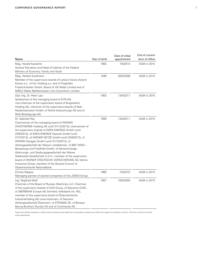| Name                                                                                                                                                                                                                                                                                                                                                                                                                                                                                                                                                                                                                                                                                                                 | Year of birth | Date of initial<br>appointment | End of current<br>term of office |
|----------------------------------------------------------------------------------------------------------------------------------------------------------------------------------------------------------------------------------------------------------------------------------------------------------------------------------------------------------------------------------------------------------------------------------------------------------------------------------------------------------------------------------------------------------------------------------------------------------------------------------------------------------------------------------------------------------------------|---------------|--------------------------------|----------------------------------|
| Mag. Harald Kaszanits<br>General Secretary and Head of Cabinet of the Federal<br>Ministry of Economy, Family and Youth                                                                                                                                                                                                                                                                                                                                                                                                                                                                                                                                                                                               | 1963          | 7/4/2010                       | AGM in 2015                      |
| Mag. Herbert Kaufmann<br>Member of the supervisory boards of Letisco Kosice-Airport<br>Kosice a.s., of Ksc Holding a.s. and of Flughafen<br>Friedrichshafen GmbH, Board of VIE Malta Limited and of<br>MMLC-Malta Mediterranean Link Consortium Limited                                                                                                                                                                                                                                                                                                                                                                                                                                                              | 1949          | 26/3/2008                      | <b>AGM</b> in 2015               |
| Dipl.-Ing. Dr. Peter Layr<br>Spokesman of the managing board of EVN AG;<br>vice-chairman of the supervisory board of Burgenland<br>Holding AG, chairman of the supervisory boards of Netz<br>Niederösterreich GmbH, of Rohöl-Aufsuchungs AG and of<br>RAG-Beteiligungs-AG                                                                                                                                                                                                                                                                                                                                                                                                                                            | 1953          | 13/4/2011                      | <b>AGM</b> in 2015               |
| Dr. Gabriele Payr<br>Chairwoman of the managing board of WIENER<br>STADTWERKE Holding AG (until 31/12/2013); chairwoman of<br>the supervisory boards of WIEN ENERGIE GmbH (until<br>20/9/2013), of WIEN ENERGIE Gasnetz GmbH (until<br>27/7/2013), of WIENER NETZE GmbH (until 20/9/2013), of<br>WIPARK Garagen GmbH (until 31/12/2013), of<br>Aktiengesellschaft der Wiener Lokalbahnen, of B&F WIEN -<br>Bestattung und Friedhöfe GmbH, of Gemeinnützige<br>Wohnungs- und Siedlungsgesellschaft der Wiener<br>Stadtwerke Gesellschaft m.b.H.; member of the supervisory<br>board of WIENER STÄDTISCHE VERSICHERUNG AG Vienna<br>Insurance Group, member of the General Council of<br>Oesterreichische Nationalbank | 1959          | 13/4/2011                      | <b>AGM</b> in 2015               |
| Christa Wagner<br>Managing partner of several companies of the JOSKO Group                                                                                                                                                                                                                                                                                                                                                                                                                                                                                                                                                                                                                                           | 1960          | 7/4/2010                       | <b>AGM</b> in 2015               |
| Ing. Siegfried Wolf<br>Chairman of the Board of Russian Machines LLC; Chairman<br>of the supervisory boards of GAZ Group, of Glavstroy OJSC,<br>of SBERBANK Europe AG (formerly Volksbank Int. AG),<br>member of the supervisory board of Österreichische<br>Industrieholding AG (vice-chairman), of Siemens<br>Aktiengesellschaft Österreich, of STRABAG SE, of Banque<br>Baring Brothers Sturdza SA and of Continental AG                                                                                                                                                                                                                                                                                          | 1957          | 16/3/2000                      | AGM in 2015                      |

Supervisory Board mandates in publicly listed companies and significant comparable companies are listed with respect to (ancillary) functions. Full-time functions are listed where appropriate.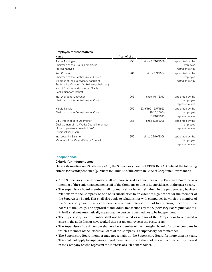| Name                                                                                                                                                                                                       | Year of birth |                                                 |                                                 |
|------------------------------------------------------------------------------------------------------------------------------------------------------------------------------------------------------------|---------------|-------------------------------------------------|-------------------------------------------------|
| Anton Aichinger<br>Chairman of the Group's employee<br>representatives                                                                                                                                     | 1955          | since 25/10/2006                                | appointed by the<br>employee<br>representatives |
| Kurt Christof<br>Chairman of the Central Works Council<br>Member of the supervisory boards of<br>Stadtwerke Voitsberg GmbH (vice-chairman)<br>and of Sparkasse Voitsberg/Köflach<br>Bankaktiengesellschaft | 1964          | since 8/3/2004                                  | appointed by the<br>employee<br>representatives |
| Ing. Wolfgang Liebscher<br>Chairman of the Central Works Council                                                                                                                                           | 1966          | since 1/11/2013                                 | appointed by the<br>employee<br>representatives |
| <b>Harald Novak</b><br>Chairman of the Central Works Council                                                                                                                                               | 1952          | 27/9/1991-9/5/1993<br>15/12/2000-<br>31/10/2013 | appointed by the<br>employee<br>representatives |
| Dipl.-Ing. Ingeborg Oberreiner<br>Chairwoman of the Works Council, member<br>of the supervisory board of BAV<br>Pensionskassen AG                                                                          | 1951          | since 29/8/2006                                 | appointed by the<br>employee<br>representatives |
| Ing. Joachim Salamon<br>Member of the Central Works Council                                                                                                                                                | 1956          | since 25/10/2006                                | appointed by the<br>employee<br>representatives |

#### **Independence**

#### **Criteria for independence**

Employee representatives

During its meeting on 23 February 2010, the Supervisory Board of VERBUND AG defined the following criteria for its independence (pursuant to C Rule 53 of the Austrian Code of Corporate Governance):

- "The Supervisory Board member shall not have served as a member of the Executive Board or as a member of the senior management staff of the Company or one of its subsidiaries in the past 5 years.
- The Supervisory Board member shall not maintain or have maintained in the past year any business relations with the Company or one of its subsidiaries to an extent of significance for the member of the Supervisory Board. This shall also apply to relationships with companies in which the member of the Supervisory Board has a considerable economic interest, but not to exercising functions in the boards of the Group. The approval of individual transactions by the Supervisory Board pursuant to L Rule 48 shall not automatically mean that the person is deemed not to be independent.
- The Supervisory Board member shall not have acted as auditor of the Company or have owned a share in the audit firm or have worked there as an employee in the past 3 years.
- The Supervisory Board member shall not be a member of the managing board of another company in which a member of the Executive Board of the Company is a supervisory board member.
- The Supervisory Board member may not remain on the Supervisory Board for more than 15 years. This shall not apply to Supervisory Board members who are shareholders with a direct equity interest in the Company or who represent the interests of such a shareholder.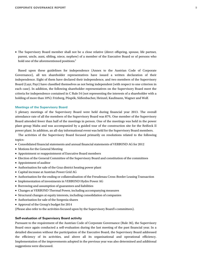• The Supervisory Board member shall not be a close relative (direct offspring, spouse, life partner, parent, uncle, aunt, sibling, niece, nephew) of a member of the Executive Board or of persons who hold one of the aforementioned positions."

Based upon these guidelines for independence (Annex to the Austrian Code of Corporate Governance), all ten shareholder representatives have issued a written declaration of their independence. Eight of them have declared their independence, and two members of the Supervisory Board (Layr, Payr) have classified themselves as not being independent (with respect to one criterion in each case). In addition, the following shareholder representatives on the Supervisory Board meet the criteria for independence contained in C Rule 54 (not representing the interests of a shareholder with a holding of more than 10%): Frizberg, Püspök, Süßenbacher, Heinzel, Kaufmann, Wagner and Wolf.

#### **Meetings of the Supervisory Board**

5 plenary meetings of the Supervisory Board were held during financial year 2013. The overall attendance rate of all the members of the Supervisory Board was 87%. One member of the Supervisory Board attended fewer than half of the meetings in person. One of the meetings was held in the power plant group Malta and was accompanied by a guided tour of the construction site for the Reißeck II power plant. In addition, an all-day informational event was held for the Supervisory Board members.

The activities of the Supervisory Board focused primarily on resolutions related to the following topics:

- Consolidated financial statements and annual financial statements of VERBUND AG for 2012
- Motions for the General Meeting
- Appointment or reappointment of Executive Board members
- Election of the General Committee of the Supervisory Board and constitution of the committees
- Appointment of auditor
- Authorisation for sale of the Graz district heating power plant
- Capital increase at Austrian Power Grid AG
- Authorisation for the ending or collateralisation of the Freudenau Cross-Border Leasing Transaction
- Implementation of investments in VERBUND Hydro Power AG
- Borrowing and assumption of guarantees and liabilities
- Changes at VERBUND Thermal Power, including accompanying measures
- Structural changes at equity interests, including consolidation of companies
- Authorisation for sale of the Sorgenia shares
- Approval of the Group's budget for 2014

(Please also refer to the activities focused upon by the Supervisory Board's committees).

#### **Self-evaluation of Supervisory Board activity**

Pursuant to the requirement of the Austrian Code of Corporate Governance (Rule 36), the Supervisory Board once again conducted a self-evaluation during the last meeting of the past financial year. In a detailed discussion without the participation of the Executive Board, the Supervisory Board addressed the efficiency of its activities, and above all its organisational and operational efficiency. Implementation of the improvements adopted in the previous year was also determined and additional suggestions were discussed.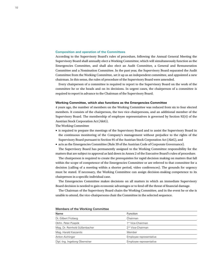#### **Composition and operation of the Committees**

According to the Supervisory Board's rules of procedure, following the Annual General Meeting the Supervisory Board shall annually elect a Working Committee, which will simultaneously function as the Emergencies Committee, and shall also elect an Audit Committee, a General and Remuneration Committee and a Nomination Committee. In the past year, the Supervisory Board separated the Audit Committee from the Working Committee, set it up as an independent committee, and appointed a new chairman. In this sense, the rules of procedure of the Supervisory Board were amended.

Every chairperson of a committee is required to report to the Supervisory Board on the work of the committee he or she heads and on its decisions. In urgent cases, the chairperson of a committee is required to report in advance to the Chairman of the Supervisory Board.

#### **Working Committee, which also functions as the Emergencies Committee**

4 years ago, the number of members on the Working Committee was reduced from six to four elected members. It consists of the chairperson, the two vice-chairpersons, and an additional member of the Supervisory Board. The membership of employee representatives is governed by Section 92(4) of the Austrian Stock Corporation Act (AktG).

The Working Committee

- is required to prepare the meetings of the Supervisory Board and to assist the Supervisory Board in the continuous monitoring of the Company's management without prejudice to the rights of the Supervisory Board pursuant to Section 95 of the Austrian Stock Corporation Act (AktG), and
- acts as the Emergencies Committee (Rule 39 of the Austrian Code of Corporate Governance).

The Supervisory Board has permanently assigned to the Working Committee responsibility for the matters that are subject to approval as laid down in Annex 2 of the Executive Board's rules of procedure.

The chairperson is required to create the prerequisites for rapid decision making on matters that fall within the scope of competence of the Emergencies Committee or are referred to that committee for a decision (calling of a meeting within a shorter period, video conferences). The grounds for urgency must be stated. If necessary, the Working Committee can assign decision-making competence to its chairperson in a specific individual case.

The Emergencies Committee makes decisions on all matters in which an immediate Supervisory Board decision is needed to gain economic advantages or to fend off the threat of financial damage.

The Chairman of the Supervisory Board chairs the Working Committee, and in the event he or she is unable to attend, the vice-chairpersons chair the Committee in the selected sequence.

| Name                           | Function                      |
|--------------------------------|-------------------------------|
| Dr. Gilbert Frizberg           | Chairman                      |
| Dkfm. Peter Püspök             | 1 <sup>st</sup> Vice-Chairman |
| Mag. Dr. Reinhold Süßenbacher  | 2 <sup>nd</sup> Vice-Chairman |
| Mag. Harald Kaszanits          | Member                        |
| Anton Aichinger                | Employee representative       |
| Dipl.-Ing. Ingeborg Oberreiner | Employee representative       |

Members of the Working Committee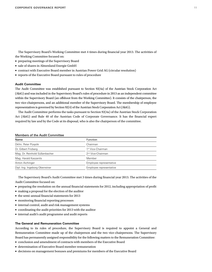The Supervisory Board's Working Committee met 4 times during financial year 2013. The activities of the Working Committee focused on:

- preparing meetings of the Supervisory Board
- sale of shares in Almenland Energie GmbH
- contract with Executive Board member in Austrian Power Grid AG (circular resolution)
- reports of the Executive Board pursuant to rules of procedure

#### **Audit Committee**

The Audit Committee was established pursuant to Section 92(4a) of the Austrian Stock Corporation Act (AktG) and was included in the Supervisory Board's rules of procedure in 2013 as an independent committee within the Supervisory Board (an offshoot from the Working Committee). It consists of the chairperson, the two vice-chairpersons, and an additional member of the Supervisory Board. The membership of employee representatives is governed by Section 92(4) of the Austrian Stock Corporation Act (AktG).

The Audit Committee performs the tasks pursuant to Section 92(4a) of the Austrian Stock Corporation Act (AktG) and Rule 40 of the Austrian Code of Corporate Governance. It has the financial expert required by law and by the Code at its disposal, who is also the chairperson of the committee.

| <b>Members of the Audit Committee</b> |  |
|---------------------------------------|--|
|---------------------------------------|--|

| Name                           | Function                      |
|--------------------------------|-------------------------------|
| Dkfm. Peter Püspök             | Chairman                      |
| Dr. Gilbert Frizberg           | 1 <sup>st</sup> Vice-Chairman |
| Mag. Dr. Reinhold Süßenbacher  | 2 <sup>nd</sup> Vice-Chairman |
| Mag. Harald Kaszanits          | Member                        |
| Anton Aichinger                | Employee representative       |
| Dipl.-Ing. Ingeborg Oberreiner | Employee representative       |

The Supervisory Board's Audit Committee met 3 times during financial year 2013. The activities of the Audit Committee focused on:

- preparing the resolution on the annual financial statements for 2012, including appropriation of profit
- making a proposal for the election of the auditor
- the semi-annual financial statements for 2013
- monitoring financial reporting processes
- internal control, audit and risk management systems
- coordinating the audit priorities for 2013 with the auditor
- internal audit's audit programme and audit reports

#### **The General and Remuneration Committee**

According to its rules of procedure, the Supervisory Board is required to appoint a General and Remuneration Committee made up of the chairperson and the two vice-chairpersons. The Supervisory Board has permanently assigned responsibility for the following matters to the Remuneration Committee:

- conclusion and amendment of contracts with members of the Executive Board
- determination of Executive Board member remuneration
- decisions on management bonuses and premiums for members of the Executive Board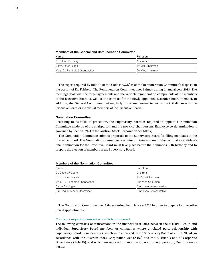Members of the General and Remuneration Committee

| Name                          | Function                      |  |
|-------------------------------|-------------------------------|--|
| Dr. Gilbert Frizberg          | Chairman                      |  |
| Dkfm. Peter Püspök            | 1 <sup>st</sup> Vice-Chairman |  |
| Mag. Dr. Reinhold Süßenbacher | 2 <sup>nd</sup> Vice-Chairman |  |

The expert required by Rule 43 of the Code (ÖCGK) is at the Remuneration Committee's disposal in the person of Dr. Frizberg. The Remuneration Committee met 3 times during financial year 2013. The meetings dealt with the target agreements and the variable remuneration components of the members of the Executive Board as well as the contract for the newly appointed Executive Board member. In addition, the General Committee met regularly to discuss current issues. In part, it did so with the Executive Board or individual members of the Executive Board.

#### **Nomination Committee**

According to its rules of procedure, the Supervisory Board is required to appoint a Nomination Committee made up of the chairperson and the two vice-chairpersons. Employee co-determination is governed by Section 92(4) of the Austrian Stock Corporation Act (AktG).

The Nomination Committee submits proposals to the Supervisory Board for filling mandates in the Executive Board. The Nomination Committee is required to take account of the fact that a candidate's final nomination for the Executive Board must take place before the nominee's 65th birthday and to prepare the election of members of the Supervisory Board.

Members of the Nomination Committee

| Name                           | Function                |
|--------------------------------|-------------------------|
| Dr. Gilbert Frizberg           | Chairman                |
| Dkfm. Peter Püspök             | 1st Vice-Chairman       |
| Mag. Dr. Reinhold Süßenbacher  | 2nd Vice-Chairman       |
| Anton Aichinger                | Employee representative |
| Dipl.-Ing. Ingeborg Oberreiner | Employee representative |

The Nomination Committee met 3 times during financial year 2013 in order to prepare for Executive Board appointments.

#### **Contracts requiring consent – conflicts of interest**

The following contracts or transactions in the financial year 2013 between the VERBUND Group and individual Supervisory Board members or companies where a related party relationship with Supervisory Board members exists, which were approved by the Supervisory Board of VERBUND AG in accordance with the Austrian Stock Corporation Act (AktG) and the Austrian Code of Corporate Governance (Rule 49), and which are reported on an annual basis in the Supervisory Board, were as follows: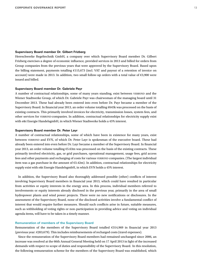### **Supervisory Board member Dr. Gilbert Frizberg**

Hereschwerke Regeltechnik GmbH, a company over which Supervisory Board member Dr. Gilbert Frizberg exercises a degree of economic influence, provided services in 2013 and billed for orders from Group companies from the previous years that were approved by the Supervisory Board. Based upon the billing statement, payments totalling €115,673 (incl. VAT and payout of a retention of invoice on account) were made in 2013. In addition, two small follow-up orders with a total value of €3,900 were issued and billed.

#### **Supervisory Board member Dr. Gabriele Payr**

A number of contractual relationships, some of many years standing, exist between VERBUND and the Wiener Stadtwerke Group, of which Dr. Gabriele Payr was chairwoman of the managing board until 31 December 2013. These had already been entered into even before Dr. Payr became a member of the Supervisory Board. In financial year 2013, an order volume totalling €645k was processed on the basis of existing contracts. This primarily involved invoices for electricity, transmission losses, system fees, and other services for VERBUND companies. In addition, contractual relationships for electricity supply exist with e&t Energie HandelsgmbH, in which Wiener Stadtwerke holds a 45% interest.

#### **Supervisory Board member Dr. Peter Layr**

A number of contractual relationships, some of which have been in existence for many years, exist between VERBUND and EVN, of which Dr. Peter Layr is spokesman of the executive board. These had already been entered into even before Dr. Layr became a member of the Supervisory Board. In financial year 2013, an order volume totalling €5.63m was processed on the basis of the existing contracts. These primarily involved electricity, gas, or grid purchases, operational management, usage fees, grid access fees and other payments and recharging of costs for various VERBUND companies. (The largest individual item was a gas purchase in the amount of €3.42m). In addition, contractual relationships for electricity supply exist with e&t Energie HandelsgmbH, in which EVN holds a 45% interest.

In addition, the Supervisory Board also thoroughly addressed possible (other) conflicts of interest involving Supervisory Board members in financial year 2013, which could have resulted in particular from activities or equity interests in the energy area. In this process, individual members referred to involvements or equity interests already disclosed in the previous year, primarily in the area of small hydropower plants and wind power projects. There were no new notifications or disclosures. In the assessment of the Supervisory Board, none of the disclosed activities involve a fundamental conflict of interest that would require further measures. Should such conflicts arise in future, suitable measures, such as withholding of voting rights or non-participation in providing advice and voting on individual agenda items, will have to be taken in a timely manner.

#### **Remuneration of members of the Supervisory Board**

Remuneration of the members of the Supervisory Board totalled €314,969 in financial year 2013 (previous year: €203,679). This includes reimbursements of recharged costs (travel expenses).

Since the remuneration of the Supervisory Board members had remained unchanged since 2006, an increase was resolved at the 66th Annual General Meeting held on 17 April 2013 in light of the increased demands with respect to scope of duties and responsibility of the Supervisory Board. In this resolution, the following remuneration scheme for the members of the Supervisory Board was established, which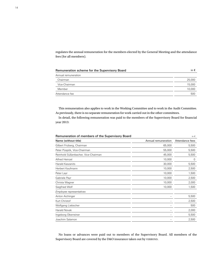regulates the annual remuneration for the members elected by the General Meeting and the attendance fees (for all members).

| Remuneration scheme for the Supervisory Board | in $\epsilon$ |
|-----------------------------------------------|---------------|
| Annual remuneration                           |               |
| Chairman                                      | 25,000        |
| Vice-Chairman                                 | 15,000        |
| Member                                        | 10,000        |
| Attendance fee                                | 500           |

This remuneration also applies to work in the Working Committee and to work in the Audit Committee. As previously, there is no separate remuneration for work carried out in the other committees.

In detail, the following remuneration was paid to the members of the Supervisory Board for financial year 2013:

| Remuneration of members of the Supervisory Board<br>in $\epsilon$ |                     |                 |
|-------------------------------------------------------------------|---------------------|-----------------|
| Name (without title)                                              | Annual remuneration | Attendance fees |
| Gilbert Frizberg, Chairman                                        | 65,000              | 5,500           |
| Peter Püspök, Vice-Chairman                                       | 55,000              | 5,500           |
| Reinhold Süßenbacher, Vice-Chairman                               | 45,000              | 5,500           |
| Alfred Heinzel                                                    | 10,000              | 0               |
| Harald Kaszanits                                                  | 30,000              | 5,500           |
| Herbert Kaufmann                                                  | 10,000              | 2,500           |
| Peter Layr                                                        | 10,000              | 1,500           |
| Gabriele Payr                                                     | 10,000              | 2,500           |
| Christa Wagner                                                    | 10,000              | 2,000           |
| Siegfried Wolf                                                    | 10,000              | 1,500           |
| Employee representatives                                          |                     |                 |
| Anton Aichinger                                                   |                     | 5,500           |
| Kurt Christof                                                     |                     | 2,500           |
| Wolfgang Liebscher                                                |                     | 500             |
| <b>Harald Novak</b>                                               |                     | 2,000           |
| Ingeborg Oberreiner                                               |                     | 5,500           |
| Joachim Salamon                                                   |                     | 2,500           |

No loans or advances were paid out to members of the Supervisory Board. All members of the Supervisory Board are covered by the D&O insurance taken out by VERBUND.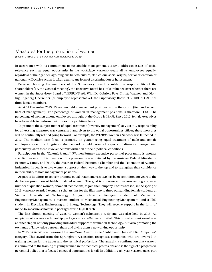## Measures for the promotion of women

(Section 243b(2)(2) of the Austrian Commercial Code UGB))

In accordance with its commitment to sustainable management, VERBUND addresses issues of social relevance such as equal opportunity in the workplace. VERBUND treats all its employees equally, regardless of their gender, age, religious beliefs, culture, skin colour, social origins, sexual orientation or nationality. Decisive action is taken against any form of discrimination or harassment.

Because choosing the members of the Supervisory Board is solely the responsibility of the shareholders (i.e. the General Meeting), the Executive Board has little influence over whether there are women in the Supervisory Board of VERBUND AG. With Dr. Gabriele Payr, Christa Wagner, and Dipl.- Ing. Ingeborg Oberreiner (as employee representative), the Supervisory Board of VERBUND AG has three female members.

As at 31 December 2013, 15 women held management positions within the Group (first and second tiers of management). The percentage of women in management positions is therefore 11.8%. The percentage of women among employees throughout the Group is 18.4%. Since 2012, female executives have been able to perform their duties on a part-time basis.

To promote the subject matter of equal treatment (diversity management) at VERBUND, responsibility for all existing measures was centralised and given to the equal opportunities officer; these measures will be continually refined going forward. For example, the VERBUND Women's Network was launched in 2012. The medium-term focus is primarily on guaranteeing equal treatment of male and female employees. Over the long-term, the network should cover all aspects of diversity management, particularly when these involve the transformation of socio-political conditions.

Participation in the "Zukunft.Frauen" (Women.Future) executive personnel programme is another specific measure in this direction. This programme was initiated by the Austrian Federal Ministry of Economy, Family and Youth, the Austrian Federal Economic Chamber and the Federation of Austrian Industries. Its goal is to give women support on their way to the top and to strengthen their confidence in their ability to hold management positions.

As part of its efforts to actively promote equal treatment, VERBUND has been committed for years to the deliberate promotion of highly qualified women. The goal is to create enthusiasm among a greater number of qualified women, above all technicians, to join the Company. For this reason, in the spring of 2013, VERBUND awarded women's scholarships for the fifth time to three outstanding female students at Vienna University of Technology. A jury chose a first-year student of Mechanical Engineering/Management, a masters student of Mechanical Engineering/Management, and a PhD student in Electrical Engineering and Energy Technology. They will receive support in the form of made-to-measure scholarship packages worth €5,000 each.

The first alumni meeting of VERBUND women's scholarship recipients was also held in 2013. All recipients of VERBUND scholarship packages since 2009 were invited. This initial alumni event was another step in not only providing individual support to women in technology, but also promoting the exchange of knowledge between them and giving them a networking opportunity.

In 2013, VERBUND was bestowed the amaZone Award in the "Public and Quasi-Public Companies" category. This award from the Sprungbrett Association recognises companies who are involved in training women for the trades and the technical professions. The award is a confirmation that VERBUND is committed to the training of young women in the technical professions and is the sign of a progressive personnel policy that is focused on equal opportunities for all. In addition, each year, VERBUND takes part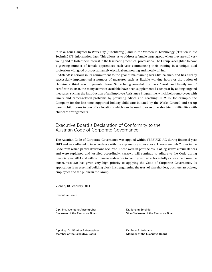in Take Your Daughter to Work Day ("Töchtertag") and in the Women in Technology ("Frauen in die Technik", FIT) information days. This allows us to address a female target group when they are still very young and to foster their interest in the fascinating technical professions. The Group is delighted to have a growing number of female apprentices each year commencing their training in a unique dual profession with good prospects, namely electrical engineering and metalworking.

VERBUND is serious in its commitment to the goal of maintaining work-life balance, and has already successfully implemented a number of measures such as flexible working hours or the option of claiming a third year of parental leave. Since being awarded the basic "Work and Family Audit" certificate in 2009, the many activities available have been supplemented each year by adding targeted measures, such as the introduction of an Employee Assistance Programme, which helps employees with family and career-related problems by providing advice and coaching. In 2013, for example, the Company for the first time supported holiday child care initiated by the Works Council and set up parent-child rooms in two office locations which can be used to overcome short-term difficulties with childcare arrangements.

# Executive Board's Declaration of Conformity to the Austrian Code of Corporate Governance

The Austrian Code of Corporate Governance was applied within VERBUND AG during financial year 2013 and was adhered to in accordance with the explanatory notes above. There were only 2 rules in the Code from which partial deviations occurred. These were in part the result of legislative circumstances and were explained and justified accordingly. VERBUND will continue to adhere to the Code during financial year 2014 and will continue to endeavour to comply with all rules as fully as possible. From the outset, VERBUND has given very high priority to applying the Code of Corporate Governance. Its application is an essential building block in strengthening the trust of shareholders, business associates, employees and the public in the Group.

Vienna, 18 February 2014

Executive Board

Dipl.-Ing. Wolfgang Anzengruber Dipl.-Ing. Wolfgang Anzengruber Dr. Johann Sereinig

Chairman of the Executive Board Vice-Chairman of the Executive Board

Dipl.-Ing. Dr. Günther Rabensteiner **Diplemann** Dr. Peter F. Kollmann Member of the Executive Board Member of the Executive Board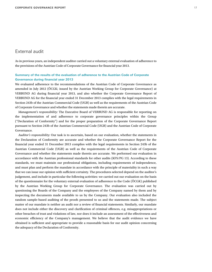# External audit

As in previous years, an independent auditor carried out a voluntary external evaluation of adherence to the provisions of the Austrian Code of Corporate Governance for financial year 2013.

#### **Summary of the results of the evaluation of adherence to the Austrian Code of Corporate Governance during financial year 2013**

We evaluated adherence to the recommendations of the Austrian Code of Corporate Governance as amended in July 2012 (ÖCGK; issued by the Austrian Working Group for Corporate Governance) at VERBUND AG during financial year 2013, and also whether the Corporate Governance Report of VERBUND AG for the financial year ended 31 December 2013 complies with the legal requirements in Section 243b of the Austrian Commercial Code (UGB) as well as the requirements of the Austrian Code of Corporate Governance and whether the statements made therein are accurate.

*Management's responsibility:* The Executive Board of VERBUND AG is responsible for reporting on the implementation of and adherence to corporate governance principles within the Group ("Declaration of Conformity") and for the proper preparation of the Corporate Governance Report pursuant to Section 243b of the Austrian Commercial Code (UGB) and the Austrian Code of Corporate Governance.

*Auditor's responsibility:* Our task is to ascertain, based on our evaluation, whether the statements in the Declaration of Conformity are accurate and whether the Corporate Governance Report for the financial year ended 31 December 2013 complies with the legal requirements in Section 243b of the Austrian Commercial Code (UGB) as well as the requirements of the Austrian Code of Corporate Governance and whether the statements made therein are accurate. We performed our evaluation in accordance with the Austrian professional standards for other audits (KFS/PG 13). According to these standards, we must maintain our professional obligations, including requirements of independence, and must plan and perform the mandate in accordance with the principle of materiality in such a way that we can issue our opinion with sufficient certainty. The procedures selected depend on the auditor's judgement, and include in particular the following activities: we carried out our evaluation on the basis of the questionnaire for the voluntary external evaluation of adherence to the Code (ÖCGK) published by the Austrian Working Group for Corporate Governance. The evaluation was carried out by questioning the Boards of the Company and the employees of the Company named by them and by inspecting the documents made available to us by the Company. Our evaluation also included the random sample-based auditing of the proofs presented to us and the statements made. The subject matter of our mandate is neither an audit nor a review of financial statements. Similarly, our mandate does not include either the discovery and clarification of criminal offences, e.g. misappropriations or other breaches of trust and violations of law, nor does it include an assessment of the effectiveness and economic efficiency of the Company's management. We believe that the audit evidence we have obtained is sufficient and appropriate to provide a reasonable basis for our audit opinion concerning the adequacy of the Declaration of Conformity.